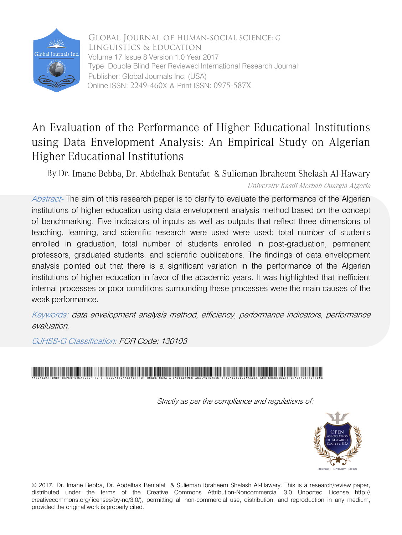

 Volume 17 Issue 8 Version 1.0 Year 2017 Online ISSN: 2249-460x & Print ISSN: 0975-587X Global Journal of HUMAN-SOCIAL SCIENCE: G Linguistics & Education Type: Double Blind Peer Reviewed International Research Journal Publisher: Global Journals Inc. (USA)

## An Evaluation of the Performance of Higher Educational Institutions using Data Envelopment Analysis: An Empirical Study on Algerian Higher Educational Institutions

By Dr. Imane Bebba, Dr. Abdelhak Bentafat & Sulieman Ibraheem Shelash Al-Hawary

University Kasdi Merbah Ouargla-Algeria

Abstract- The aim of this research paper is to clarify to evaluate the performance of the Algerian institutions of higher education using data envelopment analysis method based on the concept of benchmarking. Five indicators of inputs as well as outputs that reflect three dimensions of teaching, learning, and scientific research were used were used; total number of students enrolled in graduation, total number of students enrolled in post-graduation, permanent professors, graduated students, and scientific publications. The findings of data envelopment analysis pointed out that there is a significant variation in the performance of the Algerian institutions of higher education in favor of the academic years. It was highlighted that inefficient internal processes or poor conditions surrounding these processes were the main causes of the weak performance.

Keywords: data envelopment analysis method, efficiency, performance indicators, performance evaluation.

GJHSS-G Classification: FOR Code: 130103



Strictly as per the compliance and regulations of:



© 2017. Dr. Imane Bebba, Dr. Abdelhak Bentafat & Sulieman Ibraheem Shelash Al-Hawary. This is a research/review paper, distributed under the terms of the Creative Commons Attribution-Noncommercial 3.0 Unported License http:// creativecommons.org/licenses/by-nc/3.0/), permitting all non-commercial use, distribution, and reproduction in any medium, provided the original work is properly cited.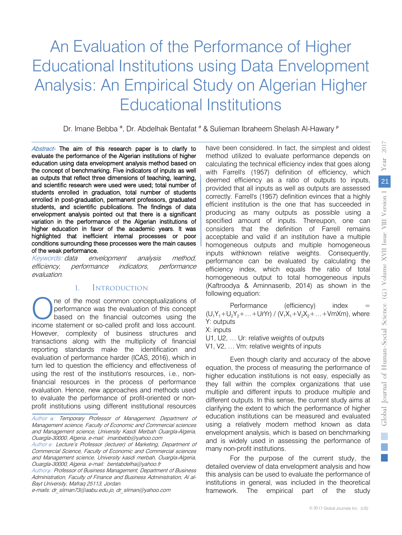## An Evaluation of the Performance of Higher Educational Institutions using Data Envelopment Analysis: An Empirical Study on Algerian Higher Educational Institutions

Dr. Imane Bebba <sup>α</sup>, Dr. Abdelhak Bentafat <sup>σ</sup> & Sulieman Ibraheem Shelash Al-Hawary <sup>ρ</sup>

 enrolled in post-graduation, permanent professors, graduated higher education in favor of the academic years. It was Abstract- The aim of this research paper is to clarify to highlighted that inefficient internal processes or poor evaluate the performance of the Algerian institutions of higher education using data envelopment analysis method based on conditions surrounding these processes were the main causes<br>of the weak performance the concept of benchmarking. Five indicators of inputs as well as outputs that reflect three dimensions of teaching, learning, and scientific research were used were used; total number of students enrolled in graduation, total number of students students, and scientific publications. The findings of data envelopment analysis pointed out that there is a significant variation in the performance of the Algerian institutions of of the weak performance.

Keywords: data envelopment analysis method, efficiency, performance indicators, performance evaluation.

## I. Introduction

 However, complexity of business structures and ne of the most common conceptualizations of performance was the evaluation of this concept based on the financial outcomes using the **income statement or so-called profit and loss account.**<br> **O** performance was the evaluation of this concept based on the financial outcomes using the income statement or so-called profit and loss account. transactions along with the multiplicity of financial reporting standards make the identification and evaluation of performance harder (ICAS, 2016), which in turn led to question the efficiency and effectiveness of using the rest of the institution's resources, i.e., nonfinancial resources in the process of performance evaluation. Hence, new approaches and methods used to evaluate the performance of profit-oriented or nonprofit institutions using different institutional resources

Author *ρ*: Professor of Business Management, Department of Business Administration, Faculty of Finance and Business Administration, Al al-Bayt University, Mafraq 25113, Jordan.

have been considered. In fact, the simplest and oldest method utilized to evaluate performance depends on calculating the technical efficiency index that goes along with Farrell's (1957) definition of efficiency, which deemed efficiency as a ratio of outputs to inputs, provided that all inputs as well as outputs are assessed correctly. Farrell's (1957) definition evinces that a highly efficient institution is the one that has succeeded in producing as many outputs as possible using a specified amount of inputs. Thereupon, one can considers that the definition of Farrell remains acceptable and valid if an institution have a multiple homogeneous outputs and multiple homogeneous inputs withknown relative weights. Consequently, performance can be evaluated by calculating the efficiency index, which equals the ratio of total homogeneous output to total homogeneous inputs (Kaftroodya & Aminnaserib, 2014) as shown in the following equation:

Performance (efficiency) index =  $(U_1Y_1+U_2Y_2+...+UrYr) / (V_1X_1+V_2X_2+...+VmXm)$ , where Y: outputs

X: inputs U1, U2, … Ur: relative weights of outputs

V1, V2, … Vm: relative weights of inputs

Even though clarity and accuracy of the above equation, the process of measuring the performance of higher education institutions is not easy, especially as they fall within the complex organizations that use multiple and different inputs to produce multiple and different outputs. In this sense, the current study aims at clarifying the extent to which the performance of higher education institutions can be measured and evaluated using a relatively modern method known as data envelopment analysis, which is based on benchmarking and is widely used in assessing the performance of many non-profit institutions.

For the purpose of the current study, the detailed overview of data envelopment analysis and how this analysis can be used to evaluate the performance of institutions in general, was included in the theoretical framework. The empirical part of the study

Author *α*: Temporary Professor of Management, Department of Management science, Faculty of Economic and Commercial sciences and Management science, University Kasdi Merbah Ouargla-Algeria, Ouargla-30000, Algeria. e-mail: imanbebb@yahoo.com

Author *σ*: Lecture's Professor (lecturer) of Marketing, Department of Commercial Science, Faculty of Economic and Commercial sciences and Management science, University kasdi merbah, Ouargla-Algeria, Ouargla-30000, Algeria. e-mail: bentabdelha@yahoo.fr

e-mails: dr\_sliman73@aabu.edu.jo, dr\_sliman@yahoo.com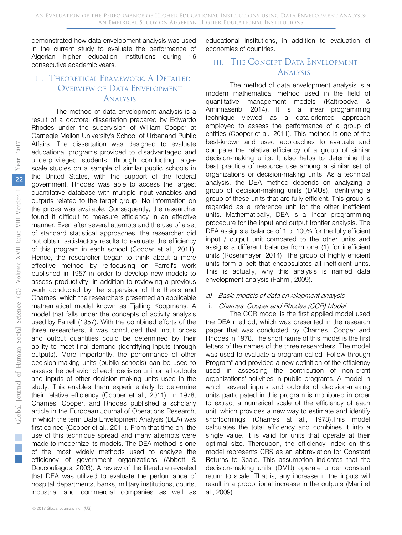demonstrated how data envelopment analysis was used in the current study to evaluate the performance of Algerian higher education institutions during 16 consecutive academic years.

## II. Theoretical Framework: A Detailed Overview of Data Envelopment Analysis

The method of data envelopment analysis is a result of a doctoral dissertation prepared by Edwardo Rhodes under the supervision of William Cooper at Carnegie Mellon University's School of Urbanand Public Affairs. The dissertation was designed to evaluate educational programs provided to disadvantaged and underprivileged students, through conducting largescale studies on a sample of similar public schools in the United States, with the support of the federal government. Rhodes was able to access the largest quantitative database with multiple input variables and outputs related to the target group. No information on the prices was available. Consequently, the researcher found it difficult to measure efficiency in an effective manner. Even after several attempts and the use of a set of standard statistical approaches, the researcher did not obtain satisfactory results to evaluate the efficiency of this program in each school (Cooper et al., 2011). Hence, the researcher began to think about a more effective method by re-focusing on Farrell's work published in 1957 in order to develop new models to assess productivity, in addition to reviewing a previous work conducted by the supervisor of the thesis and Charnes, which the researchers presented an applicable mathematical model known as Tjalling Koopmans. A model that falls under the concepts of activity analysis used by Farrell (1957). With the combined efforts of the three researchers, it was concluded that input prices and output quantities could be determined by their ability to meet final demand (identifying inputs through outputs). More importantly, the performance of other decision-making units (public schools) can be used to assess the behavior of each decision unit on all outputs and inputs of other decision-making units used in the study. This enables them experimentally to determine their relative efficiency (Cooper et al., 2011). In 1978, Charnes, Cooper, and Rhodes published a scholarly article in the European Journal of Operations Research, in which the term Data Envelopment Analysis (DEA) was first coined (Cooper et al., 2011). From that time on, the use of this technique spread and many attempts were made to modernize its models. The DEA method is one of the most widely methods used to analyze the efficiency of government organizations (Abbott & Doucouliagos, 2003). A review of the literature revealed that DEA was utilized to evaluate the performance of hospital departments, banks, military institutions, courts, industrial and commercial companies as well as

educational institutions, in addition to evaluation of economies of countries.

## III. The Concept Data Envelopment Analysis

The method of data envelopment analysis is a modern mathematical method used in the field of quantitative management models (Kaftroodya & Aminnaserib, 2014). It is a linear programming technique viewed as a data-oriented approach employed to assess the performance of a group of entities (Cooper et al., 2011). This method is one of the best-known and used approaches to evaluate and compare the relative efficiency of a group of similar decision-making units. It also helps to determine the best practice of resource use among a similar set of organizations or decision-making units. As a technical analysis, the DEA method depends on analyzing a group of decision-making units (DMUs), identifying a group of these units that are fully efficient. This group is regarded as a reference unit for the other inefficient units. Mathematically, DEA is a linear programming procedure for the input and output frontier analysis. The DEA assigns a balance of 1 or 100% for the fully efficient input / output unit compared to the other units and assigns a different balance from one (1) for inefficient units (Rosenmayer, 2014). The group of highly efficient units form a belt that encapsulates all inefficient units. This is actually, why this analysis is named data envelopment analysis (Fahmi, 2009).

#### a) Basic models of data envelopment analysis

## i. Charnes, Cooper and Rhodes (CCR) Model

The CCR model is the first applied model used the DEA method, which was presented in the research paper that was conducted by Charnes, Cooper and Rhodes in 1978. The short name of this model is the first letters of the names of the three researchers. The model was used to evaluate a program called "Follow through Program" and provided a new definition of the efficiency used in assessing the contribution of non-profit organizations' activities in public programs. A model in which several inputs and outputs of decision-making units participated in this program is monitored in order to extract a numerical scale of the efficiency of each unit, which provides a new way to estimate and identify shortcomings (Charnes at al., 1978).This model calculates the total efficiency and combines it into a single value. It is valid for units that operate at their optimal size. Thereupon, the efficiency index on this model represents CRS as an abbreviation for Constant Returns to Scale. This assumption indicates that the decision-making units (DMU) operate under constant return to scale. That is, any increase in the inputs will result in a proportional increase in the outputs (Marti et al., 2009).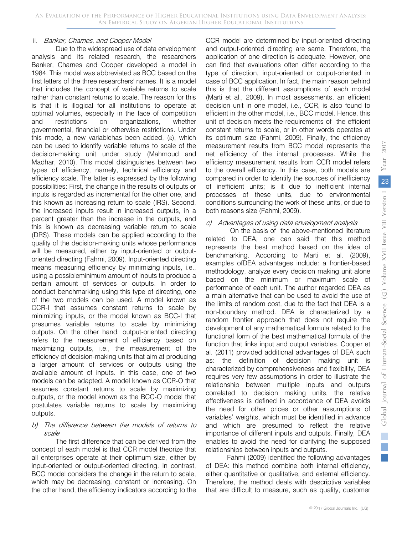## ii. Banker, Charnes, and Cooper Model

Due to the widespread use of data envelopment analysis and its related research, the researchers Banker, Charnes and Cooper developed a model in 1984. This model was abbreviated as BCC based on the first letters of the three researchers' names. It is a model that includes the concept of variable returns to scale rather than constant returns to scale. The reason for this is that it is illogical for all institutions to operate at optimal volumes, especially in the face of competition and restrictions on organizations, whether governmental, financial or otherwise restrictions. Under this mode, a new variablehas been added, (ε), which can be used to identify variable returns to scale of the decision-making unit under study (Mahmoud and Madhar, 2010). This model distinguishes between two types of efficiency, namely, technical efficiency and efficiency scale. The latter is expressed by the following possibilities: First, the change in the results of outputs or inputs is regarded as incremental for the other one, and this known as increasing return to scale (IRS). Second, the increased inputs result in increased outputs, in a percent greater than the increase in the outputs, and this is known as decreasing variable return to scale (DRS). These models can be applied according to the quality of the decision-making units whose performance will be measured, either by input-oriented or outputoriented directing (Fahmi, 2009). Input-oriented directing means measuring efficiency by minimizing inputs, i.e., using a possibleminimum amount of inputs to produce a certain amount of services or outputs. In order to conduct benchmarking using this type of directing, one of the two models can be used. A model known as CCR-I that assumes constant returns to scale by minimizing inputs, or the model known as BCC-I that presumes variable returns to scale by minimizing outputs. On the other hand, output-oriented directing refers to the measurement of efficiency based on maximizing outputs, i.e., the measurement of the efficiency of decision-making units that aim at producing a larger amount of services or outputs using the available amount of inputs. In this case, one of two models can be adapted. A model known as CCR-O that assumes constant returns to scale by maximizing outputs, or the model known as the BCC-O model that postulates variable returns to scale by maximizing outputs.

## b) The difference between the models of returns to scale

The first difference that can be derived from the concept of each model is that CCR model theorize that all enterprises operate at their optimum size, either by input-oriented or output-oriented directing. In contrast, BCC model considers the change in the return to scale, which may be decreasing, constant or increasing. On the other hand, the efficiency indicators according to the CCR model are determined by input-oriented directing and output-oriented directing are same. Therefore, the application of one direction is adequate. However, one can find that evaluations often differ according to the type of direction, input-oriented or output-oriented in case of BCC application. In fact, the main reason behind this is that the different assumptions of each model (Marti et al., 2009). In most assessments, an efficient decision unit in one model, i.e., CCR, is also found to efficient in the other model, i.e., BCC model. Hence, this unit of decision meets the requirements of the efficient constant returns to scale, or in other words operates at its optimum size (Fahmi, 2009). Finally, the efficiency measurement results from BCC model represents the net efficiency of the internal processes. While the efficiency measurement results from CCR model refers to the overall efficiency. In this case, both models are compared in order to identify the sources of inefficiency of inefficient units; is it due to inefficient internal processes of these units, due to environmental conditions surrounding the work of these units, or due to both reasons size (Fahmi, 2009).

## c) Advantages of using data envelopment analysis

On the basis of the above-mentioned literature related to DEA, one can said that this method represents the best method based on the idea of benchmarking. According to Marti et al. (2009), examples ofDEA advantages include: a frontier-based methodology, analyze every decision making unit alone based on the minimum or maximum scale of performance of each unit. The author regarded DEA as a main alternative that can be used to avoid the use of the limits of random cost, due to the fact that DEA is a non-boundary method. DEA is characterized by a random frontier approach that does not require the development of any mathematical formula related to the functional form of the best mathematical formula of the function that links input and output variables. Cooper et al. (2011) provided additional advantages of DEA such as: the definition of decision making unit is characterized by comprehensiveness and flexibility, DEA requires very few assumptions in order to illustrate the relationship between multiple inputs and outputs correlated to decision making units, the relative effectiveness is defined in accordance of DEA avoids the need for other prices or other assumptions of variables' weights, which must be identified in advance and which are presumed to reflect the relative importance of different inputs and outputs. Finally, DEA enables to avoid the need for clarifying the supposed relationships between inputs and outputs.

Fahmi (2009) identified the following advantages of DEA: this method combine both internal efficiency, either quantitative or qualitative, and external efficiency. Therefore, the method deals with descriptive variables that are difficult to measure, such as quality, customer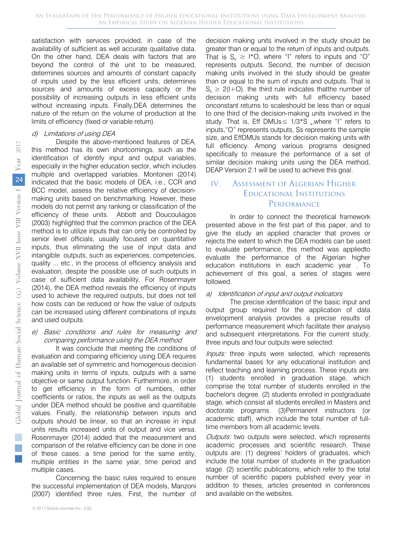satisfaction with services provided, in case of the availability of sufficient as well accurate qualitative data. On the other hand, DEA deals with factors that are beyond the control of the unit to be measured, determines sources and amounts of constant capacity of inputs used by the less efficient units, determines sources and amounts of excess capacity or the possibility of increasing outputs in less efficient units without increasing inputs. Finally,DEA determines the nature of the return on the volume of production at the limits of efficiency (fixed or variable return).

#### d) Limitations of using DEA

Despite the above-mentioned features of DEA, this method has its own shortcomings, such as the identification of identify input and output variables, especially in the higher education sector, which includes multiple and overlapped variables. Montoneri (2014) indicated that the basic models of DEA, i.e., CCR and BCC model, assess the relative efficiency of decisionmaking units based on benchmarking. However, these models do not permit any ranking or classification of the efficiency of these units. Abbott and Doucouliagos (2003) highlighted that the common practice of the DEA method is to utilize inputs that can only be controlled by senior level officials, usually focused on quantitative inputs, thus eliminating the use of input data and intangible outputs, such as experiences, competencies, quality ... etc., in the process of efficiency analysis and evaluation, despite the possible use of such outputs in case of sufficient data availability. For Rosenmayer (2014), the DEA method reveals the efficiency of inputs used to achieve the required outputs, but does not tell how costs can be reduced or how the value of outputs can be increased using different combinations of inputs and used outputs.

## e) Basic conditions and rules for measuring and comparing performance using the DEA method

It was conclude that meeting the conditions of evaluation and comparing efficiency using DEA requires an available set of symmetric and homogenous decision making units in terms of inputs, outputs with a same objective or same output function. Furthermore, in order to get efficiency in the form of numbers, either coefficients or ratios, the inputs as well as the outputs under DEA method should be positive and quantifiable values. Finally, the relationship between inputs and outputs should be linear, so that an increase in input units results increased units of output and vice versa. Rosenmayer (2014) added that the measurement and comparison of the relative efficiency can be done in one of these cases: a time period for the same entity, multiple entities in the same year, time period and multiple cases.

Concerning the basic rules required to ensure the successful implementation of DEA models, Manzoni (2007) identified three rules. First, the number of

decision making units involved in the study should be greater than or equal to the return of inputs and outputs. That is  $S_s \geq 1*O$ , where "I" refers to inputs and "O" represents outputs. Second, the number of decision making units involved in the study should be greater than or equal to the sum of inputs and outputs. That is  $S_s \geq 2(I+O)$ . the third rule indicates that the number of decision making units with full efficiency based onconstant returns to scaleshould be less than or equal to one third of the decision-making units involved in the study. That is, Eff DMUs  $\leq$  1/3\*S <sub>s</sub>, where "I" refers to inputs,"O" represents outputs, Ss represents the sample size, and EffDMUs stands for decision making units with full efficiency. Among various programs designed specifically to measure the performance of a set of similar decision making units using the DEA method, DEAP Version 2.1 will be used to achieve this goal.

## IV. Assessment of Algerian Higher Educational Institutions PERFORMANCE

In order to connect the theoretical framework presented above in the first part of this paper, and to give the study an applied character that proves or rejects the extent to which the DEA models can be used to evaluate performance, this method was appliedto evaluate the performance of the Algerian higher education institutions in each academic year . To achievement of this goal, a series of stages were followed.

#### a) Identification of input and output indicators

The precise identification of the basic input and output group required for the application of data envelopment analysis provides a precise results of performance measurement which facilitate their analysis and subsequent interpretations. For the current study, three inputs and four outputs were selected:

Inputs: three inputs were selected, which represents fundamental bases for any educational institution and reflect teaching and learning process. These inputs are: (1) students enrolled in graduation stage, which comprise the total number of students enrolled in the bachelor's degree. (2) students enrolled in postgraduate stage, which consist all students enrolled in Masters and doctorate programs. (3)Permanent instructors (or academic staff), which include the total number of fulltime members from all academic levels.

Outputs: two outputs were selected, which represents academic processes and scientific research. These outputs are: (1) degrees' holders of graduates, which include the total number of students in the graduation stage. (2) scientific publications, which refer to the total number of scientific papers published every year in addition to theses, articles presented in conferences and available on the websites.

T.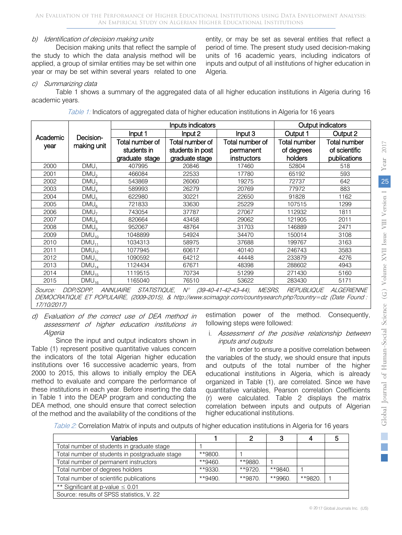## b) Identification of decision making units

Decision making units that reflect the sample of the study to which the data analysis method will be applied, a group of similar entities may be set within one year or may be set within several years related to one entity, or may be set as several entities that reflect a period of time. The present study used decision-making units of 16 academic years, including indicators of inputs and output of all institutions of higher education in Algeria.

## c) Summarizing data

Table 1 shows a summary of the aggregated data of all higher education institutions in Algeria during 16 academic years.

Table 1: Indicators of aggregated data of higher education institutions in Algeria for 16 years

|                |                           |                     | Inputs indicators     | Output indicators                                |                   |                   |  |
|----------------|---------------------------|---------------------|-----------------------|--------------------------------------------------|-------------------|-------------------|--|
| Academic       |                           | Input 1             | Input 2               | Input 3                                          | Output 1          | Output 2          |  |
|                | Decision-<br>making unit  | Total number of     | Total number of       | Total number of                                  | Total number      | Total number      |  |
| year           |                           | students in         | students in post      | permanent                                        | of degrees        | of scientific     |  |
|                |                           | graduate stage      | graduate stage        | instructors                                      | holders           | publications      |  |
| 2000           | DMU.                      | 407995              | 20846                 | 17460                                            | 52804             | 518               |  |
| 2001           | DMU <sub>2</sub>          | 466084              | 22533                 | 17780                                            | 65192             | 593               |  |
| 2002           | DMU <sub>3</sub>          | 543869              | 26060                 | 19275                                            | 72737             | 642               |  |
| 2003           | DMU <sub>A</sub>          | 589993              | 26279                 | 20769                                            | 77972             | 883               |  |
| 2004           | DMU <sub>5</sub>          | 622980              | 30221                 | 22650                                            | 91828             | 1162              |  |
| 2005           | DMU <sub>6</sub>          | 721833              | 33630                 | 25229                                            | 107515            | 1299              |  |
| 2006           | DMU <sub>7</sub>          | 743054              | 37787                 | 27067                                            | 112932            | 1811              |  |
| 2007           | DMU <sub>s</sub>          | 820664              | 43458                 | 29062                                            | 121905            | 2011              |  |
| 2008           | DMU <sub>o</sub>          | 952067              | 48764                 | 31703                                            | 146889            | 2471              |  |
| 2009           | $DMU_{10}$                | 1048899             | 54924                 | 34470                                            | 150014            | 3108              |  |
| 2010           | $DMU_{11}$                | 1034313             | 58975                 | 37688                                            | 199767            | 3163              |  |
| 2011           | $DMU_{12}$                | 1077945             | 60617                 | 40140                                            | 246743            | 3583              |  |
| 2012           | $DMU_{1*}$                | 1090592             | 64212                 | 44448                                            | 233879            | 4276              |  |
| 2013           | $DMU_{14}$                | 1124434             | 67671                 | 48398                                            | 288602            | 4943              |  |
| 2014           | $DMU_{15}$                | 1119515             | 70734                 | 51299                                            | 271430            | 5160              |  |
| 2015           | $DMU_{16}$                | 1165040             | 76510                 | 53622                                            | 283430            | 5171              |  |
| <i>Source:</i> | <i>DDP/SDPP, ANNUAIRE</i> | <i>STATISTIQUE.</i> | $\mathcal{N}^{\circ}$ | <b>MESRS.</b><br>$(39 - 40 - 41 - 42 - 43 - 44)$ | <b>REPUBLIQUE</b> | <b>ALGERIENNE</b> |  |

DEMOCRATIQUE ET POPULAIRE, (2009-2015), & http://www.scimagojr.com/countrysearch.php?country=dz (Date Found : 17/10/2017)

d) Evaluation of the correct use of DEA method in assessment of higher education institutions in Algeria

Since the input and output indicators shown in Table (1) represent positive quantitative values concern the indicators of the total Algerian higher education institutions over 16 successive academic years, from 2000 to 2015, this allows to initially employ the DEA method to evaluate and compare the performance of these institutions in each year. Before inserting the data in Table 1 into the DEAP program and conducting the DEA method, one should ensure that correct selection of the method and the availability of the conditions of the

estimation power of the method. Consequently, following steps were followed:

#### i. Assessment of the positive relationship between inputs and outputs

In order to ensure a positive correlation between the variables of the study, we should ensure that inputs and outputs of the total number of the higher educational institutions in Algeria, which is already organized in Table (1), are correlated. Since we have quantitative variables, Pearson correlation Coefficients (r) were calculated. Table 2 displays the matrix correlation between inputs and outputs of Algerian higher educational institutions.

Table 2: Correlation Matrix of inputs and outputs of higher education institutions in Algeria for 16 years

| Variables                                      |            | 2       | 3       |         | b |
|------------------------------------------------|------------|---------|---------|---------|---|
| Total number of students in graduate stage     |            |         |         |         |   |
| Total number of students in postgraduate stage | **9800.    |         |         |         |   |
| Total number of permanent instructors          | **9460.    | **9880. |         |         |   |
| Total number of degrees holders                | **9330.    | **9720. | **9840. |         |   |
| Total number of scientific publications        | $*$ *9490. | **9870. | **9960. | **9820. |   |
| ** Significant at p-value $\leq 0.01$          |            |         |         |         |   |
| Source: results of SPSS statistics, V. 22      |            |         |         |         |   |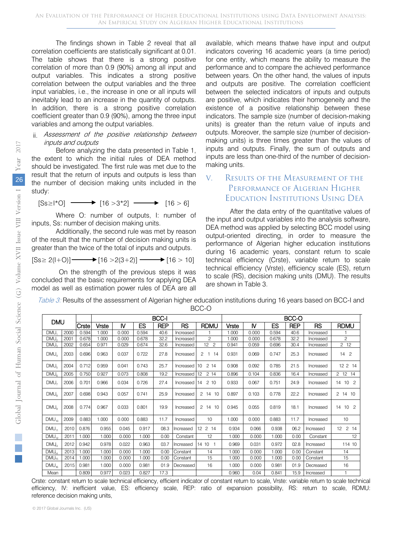The findings shown in Table 2 reveal that all correlation coefficients are statistically significant at 0.01. The table shows that there is a strong positive correlation of more than 0.9 (90%) among all input and output variables. This indicates a strong positive correlation between the output variables and the three input variables, i.e., the increase in one or all inputs will inevitably lead to an increase in the quantity of outputs. In addition, there is a strong positive correlation coefficient greater than 0.9 (90%), among the three input variables and among the output variables.

#### ii. Assessment of the positive relationship between inputs and outputs

Before analyzing the data presented in Table 1, the extent to which the initial rules of DEA method should be investigated. The first rule was met due to the result that the return of inputs and outputs is less than the number of decision making units included in the study:

$$
[Ss \ge |{}^{\star}O] \longrightarrow [16 > 3^{\star}2] \longrightarrow [16 > 6]
$$

Where O: number of outputs, I: number of inputs, Ss: number of decision making units.

Additionally, the second rule was met by reason of the result that the number of decision making units is greater than the twice of the total of inputs and outputs.

$$
[Ss \ge 2(l+O)] \longrightarrow [16 > 2(3+2)] \longrightarrow [16 > 10]
$$

On the strength of the previous steps it was concluded that the basic requirements for applying DEA model as well as estimation power rules of DEA are all available, which means thatwe have input and output indicators covering 16 academic years (a time period) for one entity, which means the ability to measure the performance and to compare the achieved performance between years. On the other hand, the values of inputs and outputs are positive. The correlation coefficient between the selected indicators of inputs and outputs are positive, which indicates their homogeneity and the existence of a positive relationship between these indicators. The sample size (number of decision-making units) is greater than the return value of inputs and outputs. Moreover, the sample size (number of decisionmaking units) is three times greater than the values of inputs and outputs. Finally, the sum of outputs and inputs are less than one-third of the number of decisionmaking units.

## V. Results of the Measurement of the Performance of Algerian Higher Education Institutions Using DEA

After the data entry of the quantitative values of the input and output variables into the analysis software, DEA method was applied by selecting BCC model using output-oriented directing, in order to measure the performance of Algerian higher education institutions during 16 academic years, constant return to scale technical efficiency (Crste), variable return to scale technical efficiency (Vrste), efficiency scale (ES), return to scale (RS), decision making units (DMU). The results are shown in Table 3.

| <b>DMU</b>        |      |       | <b>BCC-I</b> |          |       |            |              |                 |       | BCC-O |       |            |           |                 |  |  |
|-------------------|------|-------|--------------|----------|-------|------------|--------------|-----------------|-------|-------|-------|------------|-----------|-----------------|--|--|
|                   |      | Crste | Vrste        | <b>N</b> | ES    | <b>REP</b> | <b>RS</b>    | <b>RDMU</b>     | Vrste | N     | ES    | <b>REP</b> | RS.       | <b>RDMU</b>     |  |  |
| DMU.              | 2000 | 0.594 | 1.000        | 0.000    | 0.594 | 40.6       | Increased    |                 | 1.000 | 0.000 | 0.594 | 40.6       | Increased |                 |  |  |
| DMU <sub>2</sub>  | 2001 | 0.678 | 1.000        | 0.000    | 0.678 | 32.2       | Increased    | $\overline{c}$  | 1.000 | 0.000 | 0.678 | 32.2       | Increased | $\overline{c}$  |  |  |
| DMU <sub>3</sub>  | 2002 | 0.654 | 0.971        | 0.029    | 0.674 | 32.6       | Increased    | 12 <sup>2</sup> | 0.941 | 0.059 | 0.696 | 30.4       | Increased | $2 \t12$        |  |  |
| DMU <sub>4</sub>  | 2003 | 0.696 | 0.963        | 0.037    | 0.722 | 27.8       | Increased    | 2<br>$1 \t14$   | 0.931 | 0.069 | 0.747 | 25.3       | Increased | 14 <sup>2</sup> |  |  |
| DMU <sub>5</sub>  | 2004 | 0.712 | 0.959        | 0.041    | 0.743 | 25.7       | Increased 10 | 214             | 0.908 | 0.092 | 0.785 | 21.5       | Increased | 12 2 14         |  |  |
| DMU <sub>e</sub>  | 2005 | 0.750 | 0.927        | 0.073    | 0.808 | 19.2       | Increased    | 12<br>2 14      | 0.896 | 0.104 | 0.836 | 16.4       | Increased | 2 12 14         |  |  |
| DMU <sub>7</sub>  | 2006 | 0.701 | 0.966        | 0.034    | 0.726 | 27.4       | Increased 14 | 210             | 0.933 | 0.067 | 0.751 | 24.9       | Increased | 14 10 2         |  |  |
| DMU <sub>a</sub>  | 2007 | 0.698 | 0.943        | 0.057    | 0.741 | 25.9       | Increased    | 2 14 10         | 0.897 | 0.103 | 0.778 | 22.2       | Increased | 2 14 10         |  |  |
| DMU <sub>o</sub>  | 2008 | 0.774 | 0.967        | 0.033    | 0.801 | 19.9       | Increased    | 2 14 10         | 0.945 | 0.055 | 0.819 | 18.1       | Increased | 14 10 2         |  |  |
| $DMU_{10}$        | 2009 | 0.883 | 1.000        | 0.000    | 0.883 | 11.7       | Increased    | 10              | 1.000 | 0.000 | 0.883 | 11.7       | Increased | 10              |  |  |
| $DMU_{11}$        | 2010 | 0.876 | 0.955        | 0.045    | 0.917 | 08.3       | Increased    | 12 2 14         | 0.934 | 0.066 | 0.938 | 06.2       | Increased | 12 2 14         |  |  |
| $DMU_{12}$        | 2011 | 1.000 | 1.000        | 0.000    | 1.000 | 0.00       | Constant     | 12              | 1.000 | 0.000 | 1.000 | 0.00       | Constant  | 12              |  |  |
| DMU <sub>3</sub>  | 2012 | 0.942 | 0.978        | 0.022    | 0.963 | 03.7       | Increased    | 14 10 1         | 0.969 | 0.031 | 0.972 | 02.8       | Increased | 114 10          |  |  |
| DMU <sub>14</sub> | 2013 | .000  | 1.000        | 0.000    | 1.000 | 0.00       | Constant     | 14              | 1.000 | 0.000 | 1.000 | 0.00       | Constant  | 14              |  |  |
| $DMU_{15}$        | 2014 | .000  | 1.000        | 0.000    | 1.000 | 0.00       | Constant     | 15              | 1.000 | 0.000 | 1.000 | 0.00       | Constant  | 15              |  |  |
| $DMU_{16}$        | 2015 | 0.981 | 1.000        | 0.000    | 0.981 | 01.9       | Decreased    | 16              | 1.000 | 0.000 | 0.981 | 01.9       | Decreased | 16              |  |  |
| Mean              |      | 0.809 | 0.977        | 0.023    | 0.827 | 17.3       |              |                 | 0.960 | 0.04  | 0.841 | 15.9       | Increased | $\mathbf{1}$    |  |  |

Table 3: Results of the assessment of Algerian higher education institutions during 16 years based on BCC-I and BCC-O

Crste: constant return to scale technical efficiency, efficient indicator of constant return to scale, Vrste: variable return to scale technical efficiency, IV: inefficient value, ES: efficiency scale, REP: ratio of expansion possibility, RS: return to scale, RDMU: reference decision making units,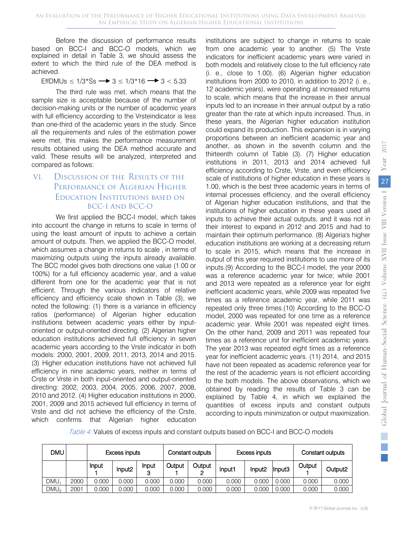Before the discussion of performance results based on BCC-I and BCC-O models, which we explained in detail in Table 3, we should assess the extent to which the third rule of the DEA method is achieved.

EffDMUs ≤ 1/3\*Ss  $\rightarrow$  3 ≤ 1/3\*16  $\rightarrow$  3 < 5.33

The third rule was met, which means that the sample size is acceptable because of the number of decision-making units or the number of academic years with full efficiency according to the Vrsteindicator is less than one-third of the academic years in the study. Since all the requirements and rules of the estimation power were met, this makes the performance measurement results obtained using the DEA method accurate and valid. These results will be analyzed, interpreted and compared as follows:

## VI. Discussion of the Results of the Performance of Algerian Higher Education Institutions based on BCC-I And BCC-O

We first applied the BCC-I model, which takes into account the change in returns to scale in terms of using the least amount of inputs to achieve a certain amount of outputs. Then, we applied the BCC-O model, which assumes a change in returns to scale , in terms of maximizing outputs using the inputs already available. The BCC model gives both directions one value (1.00 or 100%) for a full efficiency academic year, and a value different from one for the academic year that is not efficient. Through the various indicators of relative efficiency and efficiency scale shown in Table (3), we noted the following: (1) there is a variance in efficiency ratios (performance) of Algerian higher education institutions between academic years either by inputoriented or output-oriented directing. (2) Algerian higher education institutions achieved full efficiency in seven academic years according to the Vrste indicator in both models: 2000, 2001, 2009, 2011, 2013, 2014 and 2015. (3) Higher education institutions have not achieved full efficiency in nine academic years, neither in terms of Crste or Vrste in both input-oriented and output-oriented directing: 2002, 2003, 2004, 2005, 2006, 2007, 2008, 2010 and 2012. (4) Higher education institutions in 2000, 2001, 2009 and 2015 achieved full efficiency in terms of Vrste and did not achieve the efficiency of the Crste, which confirms that Algerian higher education

institutions are subject to change in returns to scale from one academic year to another. (5) The Vrste indicators for inefficient academic years were varied in both models and relatively close to the full efficiency rate (i. e., close to 1.00). (6) Algerian higher education institutions from 2000 to 2010, in addition to 2012 (i. e., 12 academic years), were operating at increased returns to scale, which means that the increase in their annual inputs led to an increase in their annual output by a ratio greater than the rate at which inputs increased. Thus, in these years, the Algerian higher education institution could expand its production. This expansion is in varying proportions between an inefficient academic year and another, as shown in the seventh column and the thirteenth column of Table (3). (7) Higher education institutions in 2011, 2013 and 2014 achieved full efficiency according to Crste, Vrste, and even efficiency scale of institutions of higher education in these years is 1.00, which is the best three academic years in terms of internal processes efficiency, and the overall efficiency of Algerian higher education institutions, and that the institutions of higher education in these years used all inputs to achieve their actual outputs, and it was not in their interest to expand in 2012 and 2015 and had to maintain their optimum performance. (8) Algeria's higher education institutions are working at a decreasing return to scale in 2015, which means that the increase in output of this year required institutions to use more of its inputs.(9) According to the BCC-I model, the year 2000 was a reference academic year for twice; while 2001 and 2013 were repeated as a reference year for eight inefficient academic years, while 2009 was repeated five times as a reference academic year, while 2011 was repeated only three times.(10) According to the BCC-O model, 2000 was repeated for one time as a reference academic year. While 2001 was repeated eight times. On the other hand, 2009 and 2011 was repeated four times as a reference unit for inefficient academic years. The year 2013 was repeated eight times as a reference year for inefficient academic years. (11) 2014, and 2015 have not been repeated as academic reference year for the rest of the academic years is not efficient according to the both models. The above observations, which we obtained by reading the results of Table 3 can be explained by Table 4, in which we explained the quantities of excess inputs and constant outputs according to inputs minimization or output maximization.

Table 4: Values of excess inputs and constant outputs based on BCC-I and BCC-O models

| <b>DMU</b>       |      | <b>Excess inputs</b> |                    |            | Constant outputs |        | Excess inputs |                    |        | Constant outputs |                     |  |
|------------------|------|----------------------|--------------------|------------|------------------|--------|---------------|--------------------|--------|------------------|---------------------|--|
|                  |      | Input                | Input <sub>2</sub> | Input<br>3 | Output           | Output | Input1        | Input <sub>2</sub> | Input3 | Output           | Output <sub>2</sub> |  |
| <b>DMU</b>       | 2000 | 0.000                | 0.000              | 0.000      | 0.000            | 0.000  | 0.000         | 0.000              | 0.000  | 0.000            | 0.000               |  |
| DMU <sub>2</sub> | 2001 | 0.000                | 0.000              | 0.000      | 0.000            | 0.000  | 0.000         | 0.000              | 0.000  | 0.000            | 0.000               |  |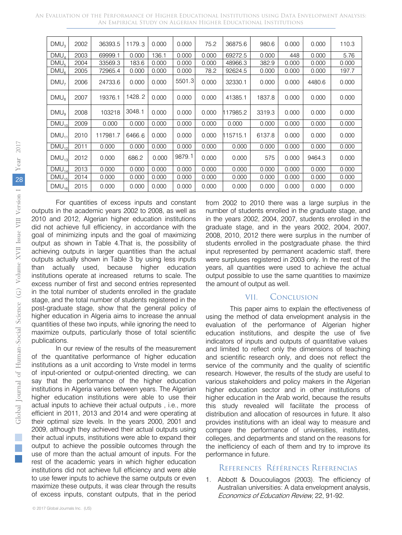| An Evaluation of the Performance of Higher Educational Institutions using Data Envelopment Analysis: |                                                                |  |  |  |
|------------------------------------------------------------------------------------------------------|----------------------------------------------------------------|--|--|--|
|                                                                                                      | AN EMPIRICAL STUDY ON ALGERIAN HIGHER EDUCATIONAL INSTITUTIONS |  |  |  |

| DMU <sub>3</sub> | 2002 | 36393.5  | 1179.3 | 0.000 | 0.000  | 75.2  | 36875.6  | 980.6  | 0.000 | 0.000  | 110.3 |
|------------------|------|----------|--------|-------|--------|-------|----------|--------|-------|--------|-------|
| DMU <sub>A</sub> | 2003 | 69999.1  | 0.000  | 136.1 | 0.000  | 0.000 | 69272.5  | 0.000  | 448   | 0.000  | 5.76  |
| DMU <sub>5</sub> | 2004 | 33569.3  | 183.6  | 0.000 | 0.000  | 0.000 | 48966.3  | 382.9  | 0.000 | 0.000  | 0.000 |
| $DMU_6$          | 2005 | 72965.4  | 0.000  | 0.000 | 0.000  | 78.2  | 92624.5  | 0.000  | 0.000 | 0.000  | 197.7 |
| DMU <sub>7</sub> | 2006 | 24733.6  | 0.000  | 0.000 | 5501.3 | 0.000 | 32330.1  | 0.000  | 0.000 | 4480.6 | 0.000 |
| DMU <sub>8</sub> | 2007 | 19376.1  | 1428.2 | 0.000 | 0.000  | 0.000 | 41385.1  | 1837.8 | 0.000 | 0.000  | 0.000 |
| DMU <sub>0</sub> | 2008 | 103218   | 3048.1 | 0.000 | 0.000  | 0.000 | 117985.2 | 3319.3 | 0.000 | 0.000  | 0.000 |
| $DMU_{10}$       | 2009 | 0.000    | 0.000  | 0.000 | 0.000  | 0.000 | 0.000    | 0.000  | 0.000 | 0.000  | 0.000 |
| $DMU_{11}$       | 2010 | 117981.7 | 6466.6 | 0.000 | 0.000  | 0.000 | 115715.1 | 6137.8 | 0.000 | 0.000  | 0.000 |
| $DMU_{12}$       | 2011 | 0.000    | 0.000  | 0.000 | 0.000  | 0.000 | 0.000    | 0.000  | 0.000 | 0.000  | 0.000 |
| $DMU_{13}$       | 2012 | 0.000    | 686.2  | 0.000 | 9879.1 | 0.000 | 0.000    | 575    | 0.000 | 9464.3 | 0.000 |
| $DMU_{14}$       | 2013 | 0.000    | 0.000  | 0.000 | 0.000  | 0.000 | 0.000    | 0.000  | 0.000 | 0.000  | 0.000 |
| $DMU_{15}$       | 2014 | 0.000    | 0.000  | 0.000 | 0.000  | 0.000 | 0.000    | 0.000  | 0.000 | 0.000  | 0.000 |
| $DMU_{16}$       | 2015 | 0.000    | 0.000  | 0.000 | 0.000  | 0.000 | 0.000    | 0.000  | 0.000 | 0.000  | 0.000 |

For quantities of excess inputs and constant outputs in the academic years 2002 to 2008, as well as 2010 and 2012, Algerian higher education institutions did not achieve full efficiency, in accordance with the goal of minimizing inputs and the goal of maximizing output as shown in Table 4.That is, the possibility of achieving outputs in larger quantities than the actual outputs actually shown in Table 3 by using less inputs than actually used, because higher education institutions operate at increased returns to scale. The excess number of first and second entries represented in the total number of students enrolled in the gradate stage, and the total number of students registered in the post-graduate stage, show that the general policy of higher education in Algeria aims to increase the annual quantities of these two inputs, while ignoring the need to maximize outputs, particularly those of total scientific publications.

In our review of the results of the measurement of the quantitative performance of higher education institutions as a unit according to Vrste model in terms of input-oriented or output-oriented directing, we can say that the performance of the higher education institutions in Algeria varies between years. The Algerian higher education institutions were able to use their actual inputs to achieve their actual outputs , i.e., more efficient in 2011, 2013 and 2014 and were operating at their optimal size levels. In the years 2000, 2001 and 2009, although they achieved their actual outputs using their actual inputs, institutions were able to expand their output to achieve the possible outcomes through the use of more than the actual amount of inputs. For the rest of the academic years in which higher education institutions did not achieve full efficiency and were able to use fewer inputs to achieve the same outputs or even maximize these outputs, it was clear through the results of excess inputs, constant outputs, that in the period from 2002 to 2010 there was a large surplus in the number of students enrolled in the graduate stage, and in the years 2002, 2004, 2007, students enrolled in the graduate stage, and in the years 2002, 2004, 2007, 2008, 2010, 2012 there were surplus in the number of students enrolled in the postgraduate phase. the third input represented by permanent academic staff, there were surpluses registered in 2003 only. In the rest of the years, all quantities were used to achieve the actual output possible to use the same quantities to maximize the amount of output as well.

## VII. Conclusion

This paper aims to explain the effectiveness of using the method of data envelopment analysis in the evaluation of the performance of Algerian higher education institutions, and despite the use of five indicators of inputs and outputs of quantitative values and limited to reflect only the dimensions of teaching and scientific research only, and does not reflect the service of the community and the quality of scientific research. However, the results of the study are useful to various stakeholders and policy makers in the Algerian higher education sector and in other institutions of higher education in the Arab world, because the results this study revealed will facilitate the process of distribution and allocation of resources in future. It also provides institutions with an ideal way to measure and compare the performance of universities, institutes, colleges, and departments and stand on the reasons for the inefficiency of each of them and try to improve its performance in future.

## References Références Referencias

1. Abbott & Doucouliagos (2003). The efficiency of Australian universities: A data envelopment analysis, Economics of Education Review, 22, 91-92.

 $\mathbb{R}^n$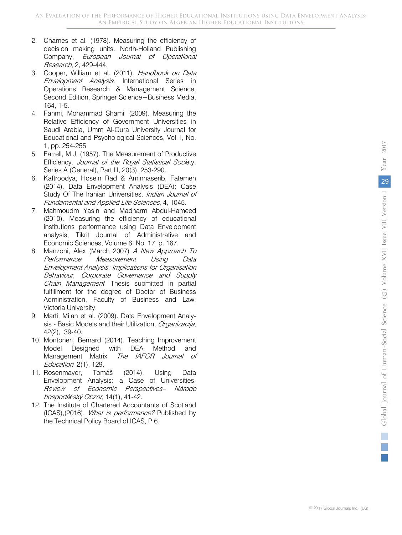- 2. Charnes et al. (1978). Measuring the efficiency of decision making units. North-Holland Publishing Company, European Journal of Operational Research, 2, 429-444.
- 3. Cooper, William et al. (2011). Handbook on Data Envelopment Analysis. International Series in Operations Research & Management Science, Second Edition, Springer Science+Business Media, 164, 1-5.
- 4. Fahmi, Mohammad Shamil (2009). Measuring the Relative Efficiency of Government Universities in Saudi Arabia, Umm Al-Qura University Journal for Educational and Psychological Sciences, Vol. I, No. 1, pp. 254-255
- 5. Farrell, M.J. (1957). The Measurement of Productive Efficiency. Journal of the Royal Statistical Society, Series A (General), Part III, 20(3), 253-290.
- 6. Kaftroodya, Hosein Rad & Aminnaserib, Fatemeh (2014). Data Envelopment Analysis (DEA): Case Study Of The Iranian Universities. *Indian Journal of* Fundamental and Applied Life Sciences, 4, 1045.
- 7. Mahmoudm Yasin and Madharm Abdul-Hameed (2010). Measuring the efficiency of educational institutions performance using Data Envelopment analysis, Tikrit Journal of Administrative and Economic Sciences, Volume 6, No. 17, p. 167.
- 8. Manzoni, Alex (March 2007) A New Approach To Performance Measurement Using Data Envelopment Analysis: Implications for Organisation Behaviour, Corporate Governance and Supply Chain Management. Thesis submitted in partial fulfillment for the degree of Doctor of Business Administration, Faculty of Business and Law, Victoria University.
- 9. Marti, Milan et al. (2009). Data Envelopment Analysis - Basic Models and their Utilization, Organizacija, 42(2), 39-40.
- 10. Montoneri, Bernard (2014). Teaching Improvement Model Designed with DEA Method and Management Matrix. The IAFOR Journal of Education, 2(1), 129.
- 11. Rosenmayer, Tomáš (2014). Using Data Envelopment Analysis: a Case of Universities. Review of Economic Perspectives– Národo hospodá*ř*ský Obzor, 14(1), 41-42.
- 12. The Institute of Chartered Accountants of Scotland (ICAS),(2016). What is performance? Published by the Technical Policy Board of ICAS, P 6.